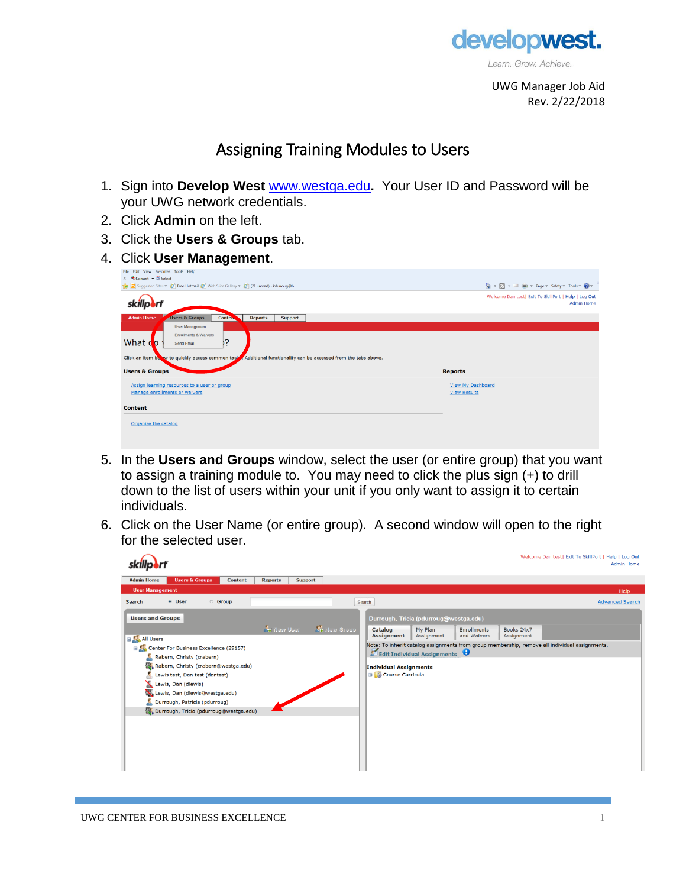

UWG Manager Job Aid Rev. 2/22/2018

## Assigning Training Modules to Users

- 1. Sign into **Develop West** [www.westga.edu](http://www.westga.edu/)**.** Your User ID and Password will be your UWG network credentials.
- 2. Click **Admin** on the left.
- 3. Click the **Users & Groups** tab.
- 4. Click **User Management**.

| File Edit View Favorites Tools Help                                                                               |                                                                           |
|-------------------------------------------------------------------------------------------------------------------|---------------------------------------------------------------------------|
| $\frac{1}{\sqrt{2}}$ Convert $\overline{\phantom{a}}$ Select                                                      |                                                                           |
| Suggested Sites = 6 Free Hotmail 6 Web Slice Gallery = 6 (21 unread) - kdurroug@b                                 | ☆ - 同 - 回 廟 - Page - Safety - Tools - 2 -                                 |
|                                                                                                                   | Welcome Dan test  Exit To SkillPort   Help   Log Out<br><b>Admin Home</b> |
| <b>Admin Home</b><br><b>Users &amp; Groups</b><br>Conten.<br><b>Reports</b><br><b>Support</b>                     |                                                                           |
| <b>User Management</b>                                                                                            |                                                                           |
| <b>Enrollments &amp; Waivers</b>                                                                                  |                                                                           |
| 7?<br>What do<br>Send Email                                                                                       |                                                                           |
|                                                                                                                   |                                                                           |
|                                                                                                                   |                                                                           |
| Click an item by w to quickly access common task<br>Additional functionality can be accessed from the tabs above. |                                                                           |
| <b>Users &amp; Groups</b>                                                                                         | <b>Reports</b>                                                            |
|                                                                                                                   |                                                                           |
| Assign learning resources to a user or group<br>Manage enrollments or waivers                                     | <b>View My Dashboard</b><br><b>View Results</b>                           |
|                                                                                                                   |                                                                           |
| <b>Content</b>                                                                                                    |                                                                           |

- 5. In the **Users and Groups** window, select the user (or entire group) that you want to assign a training module to. You may need to click the plus sign (+) to drill down to the list of users within your unit if you only want to assign it to certain individuals.
- 6. Click on the User Name (or entire group). A second window will open to the right for the selected user.

|                                                                                                                                                                                                                                                                                   | Welcome Dan test  Exit To SkillPort   Help   Log Out<br><b>Admin Home</b>                                                                                                            |  |  |  |  |  |
|-----------------------------------------------------------------------------------------------------------------------------------------------------------------------------------------------------------------------------------------------------------------------------------|--------------------------------------------------------------------------------------------------------------------------------------------------------------------------------------|--|--|--|--|--|
| <b>Admin Home</b><br><b>Users &amp; Groups</b><br><b>Support</b><br><b>Content</b><br><b>Reports</b>                                                                                                                                                                              |                                                                                                                                                                                      |  |  |  |  |  |
| <b>User Management</b><br>Help                                                                                                                                                                                                                                                    |                                                                                                                                                                                      |  |  |  |  |  |
| <b>Group</b><br>· User<br>Search                                                                                                                                                                                                                                                  | <b>Advanced Search</b><br>Search                                                                                                                                                     |  |  |  |  |  |
| <b>Users and Groups</b>                                                                                                                                                                                                                                                           | Durrough, Tricia (pdurroug@westga.edu)                                                                                                                                               |  |  |  |  |  |
| <b>On</b> New User<br><b>Ch</b> New Group<br><b>EXAIL Users</b>                                                                                                                                                                                                                   | Catalog<br>My Plan<br>Enrollments<br>Books 24x7<br><b>Assignment</b><br>and Waivers<br>Assignment<br>Assignment                                                                      |  |  |  |  |  |
| Center For Business Excellence (29157)<br>Rabern, Christy (crabern)<br>Rabern, Christy (crabern@westga.edu)<br>Lewis test, Dan test (dantest)<br>Lewis, Dan (dlewis)<br>Lewis, Dan (dlewis@westga.edu)<br>Durrough, Patricia (pdurroug)<br>Durrough, Tricia (pdurroug@westga.edu) | Note: To inherit catalog assignments from group membership, remove all individual assignments.<br>Edit Individual Assignments<br>Individual Assignments<br><b>E Course Curricula</b> |  |  |  |  |  |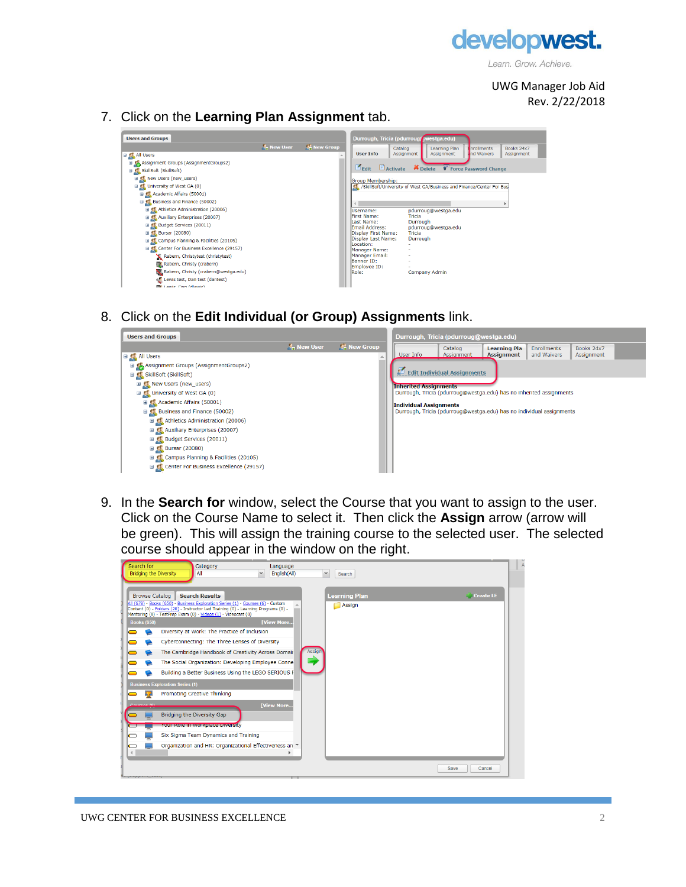

UWG Manager Job Aid Rev. 2/22/2018

7. Click on the **Learning Plan Assignment** tab.

| <b>Users and Groups</b>                            | Durrough, Tricia (pdurroug westga.edu) |                    |                                               |                                                                         |                                  |
|----------------------------------------------------|----------------------------------------|--------------------|-----------------------------------------------|-------------------------------------------------------------------------|----------------------------------|
|                                                    | <b>A</b> , New User                    | <b>A</b> New Group |                                               | Catalog<br>Learning Plan                                                | <b>Inrollments</b><br>Books 24x7 |
| <b>EILE</b> All Users                              |                                        | A                  | <b>User Info</b>                              | Assignment<br>Assignment                                                | Ind Waivers<br>Assignment        |
| Assignment Groups (AssignmentGroups2)              |                                        |                    |                                               |                                                                         |                                  |
| □ (L SkillSoft (SkillSoft)                         |                                        |                    | $\epsilon$ <sub>Edit</sub><br>$\Box$ Activate | Delete V Force Password Change                                          |                                  |
| <b>EL New Users (new_users)</b>                    |                                        |                    | Group Membership:                             |                                                                         |                                  |
| □ C University of West GA (0)                      |                                        |                    |                                               | CL /SkillSoft/University of West GA/Business and Finance/Center For Bus |                                  |
| E CA Academic Affairs (50001)                      |                                        |                    |                                               |                                                                         |                                  |
| □ C Business and Finance (50002)                   |                                        |                    |                                               |                                                                         |                                  |
| E Athletics Administration (20006)                 |                                        |                    | Username:                                     | pdurroug@westga.edu                                                     |                                  |
| <b>■ ● Auxiliary Enterprises (20007)</b>           |                                        |                    | First Name:                                   | Tricia                                                                  |                                  |
| Budget Services (20011)                            |                                        |                    | Last Name:<br>Email Address:                  | Durrough<br>pdurroug@westga.edu                                         |                                  |
| <b>⊞ C</b> Bursar (20080)                          |                                        |                    | Display First Name:                           | Tricia                                                                  |                                  |
| <b>El Campus Planning &amp; Facilities (20105)</b> |                                        |                    | Display Last Name:<br>Location:               | Durrough                                                                |                                  |
| G Center For Business Excellence (29157)           |                                        |                    | Manager Name:                                 |                                                                         |                                  |
| Rabern, Christytest (christytest)                  |                                        |                    | Manager Email:                                |                                                                         |                                  |
| Rabern, Christy (crabern)                          |                                        |                    | Banner ID:<br>Employee ID:                    |                                                                         |                                  |
| Rabern, Christy (crabern@westga.edu)               |                                        |                    | Role:                                         | <b>Company Admin</b>                                                    |                                  |
| Lewis test, Dan test (dantest)                     |                                        |                    |                                               |                                                                         |                                  |
| <b>EV</b> Lawis, Dan (dlawis)                      |                                        |                    |                                               |                                                                         |                                  |

8. Click on the **Edit Individual (or Group) Assignments** link.



9. In the **Search for** window, select the Course that you want to assign to the user. Click on the Course Name to select it. Then click the **Assign** arrow (arrow will be green). This will assign the training course to the selected user. The selected course should appear in the window on the right.

|          | Search for                             | Category                                                                                                                                             |              | Language          |        |                        |      |              |
|----------|----------------------------------------|------------------------------------------------------------------------------------------------------------------------------------------------------|--------------|-------------------|--------|------------------------|------|--------------|
|          | <b>Bridging the Diversity</b>          | All                                                                                                                                                  | $\checkmark$ | English(All)      |        | $\checkmark$<br>Search |      |              |
|          |                                        |                                                                                                                                                      |              |                   |        |                        |      |              |
|          | <b>Browse Catalog</b>                  | <b>Search Results</b>                                                                                                                                |              |                   |        | <b>Learning Plan</b>   |      | $C$ reate LE |
|          |                                        | All (678) - Books (650) - Business Exploration Series (1) - Courses (6) - Custom                                                                     |              |                   |        | Assign                 |      |              |
|          |                                        | Content (0) - Folders (20) - Instructor Led Training (0) - Learning Programs (0) -<br>Mentoring (0) - TestPrep Exam (0) - Videos (1) - Videocast (0) |              |                   |        |                        |      |              |
|          | <b>Books (650)</b>                     |                                                                                                                                                      |              | <b>[View More</b> |        |                        |      |              |
|          |                                        | Diversity at Work: The Practice of Inclusion                                                                                                         |              |                   |        |                        |      |              |
|          |                                        | Cyberconnecting: The Three Lenses of Diversity                                                                                                       |              |                   |        |                        |      |              |
|          |                                        | The Cambridge Handbook of Creativity Across Domair                                                                                                   |              |                   | Assign |                        |      |              |
|          |                                        | The Social Organization: Developing Employee Conne                                                                                                   |              |                   |        |                        |      |              |
|          |                                        | Building a Better Business Using the LEGO SERIOUS F                                                                                                  |              |                   |        |                        |      |              |
|          | <b>Business Exploration Series (1)</b> |                                                                                                                                                      |              |                   |        |                        |      |              |
|          |                                        | Promoting Creative Thinking                                                                                                                          |              |                   |        |                        |      |              |
|          | Courses IC                             |                                                                                                                                                      |              | <b>[View More</b> |        |                        |      |              |
|          |                                        | Bridging the Diversity Gap                                                                                                                           |              |                   |        |                        |      |              |
|          |                                        | Your Role in workplace Diversity                                                                                                                     |              |                   |        |                        |      |              |
|          |                                        | Six Sigma Team Dynamics and Training                                                                                                                 |              |                   |        |                        |      |              |
|          |                                        | Organization and HR: Organizational Effectiveness an ▼                                                                                               |              |                   |        |                        |      |              |
| $\left($ |                                        |                                                                                                                                                      |              |                   |        |                        |      |              |
|          |                                        |                                                                                                                                                      |              |                   |        |                        | Save | Cancel       |
|          | An interpretational                    |                                                                                                                                                      |              |                   |        |                        |      |              |